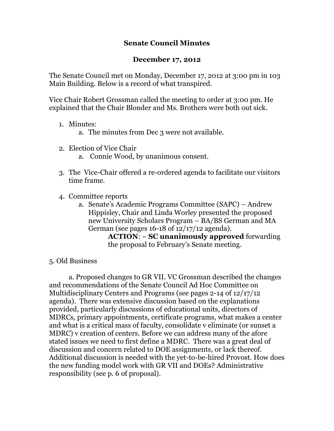## **Senate Council Minutes**

## **December 17, 2012**

The Senate Council met on Monday, December 17, 2012 at 3:00 pm in 103 Main Building. Below is a record of what transpired.

Vice Chair Robert Grossman called the meeting to order at 3:00 pm. He explained that the Chair Blonder and Ms. Brothers were both out sick.

- 1. Minutes:
	- a. The minutes from Dec 3 were not available.
- 2. Election of Vice Chair
	- a. Connie Wood, by unanimous consent.
- 3. The Vice-Chair offered a re-ordered agenda to facilitate our visitors time frame.
- 4. Committee reports
	- a. Senate's Academic Programs Committee (SAPC) Andrew Hippisley, Chair and Linda Worley presented the proposed new University Scholars Program – BA/BS German and MA German (see pages 16-18 of 12/17/12 agenda).

**ACTION**: – **SC unanimously approved** forwarding the proposal to February's Senate meeting.

## 5. Old Business

a. Proposed changes to GR VII. VC Grossman described the changes and recommendations of the Senate Council Ad Hoc Committee on Multidisciplinary Centers and Programs (see pages 2-14 of 12/17/12 agenda). There was extensive discussion based on the explanations provided, particularly discussions of educational units, directors of MDRCs, primary appointments, certificate programs, what makes a center and what is a critical mass of faculty, consolidate v eliminate (or sunset a MDRC) v creation of centers. Before we can address many of the afore stated issues we need to first define a MDRC. There was a great deal of discussion and concern related to DOE assignments, or lack thereof. Additional discussion is needed with the yet-to-be-hired Provost. How does the new funding model work with GR VII and DOEs? Administrative responsibility (see p. 6 of proposal).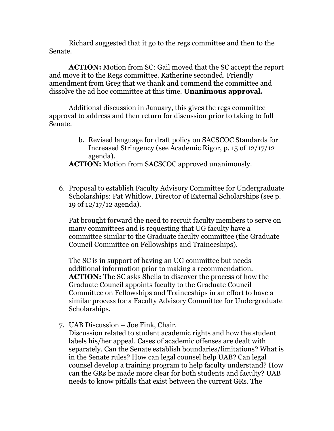Richard suggested that it go to the regs committee and then to the Senate.

**ACTION:** Motion from SC: Gail moved that the SC accept the report and move it to the Regs committee. Katherine seconded. Friendly amendment from Greg that we thank and commend the committee and dissolve the ad hoc committee at this time. **Unanimous approval.**

Additional discussion in January, this gives the regs committee approval to address and then return for discussion prior to taking to full Senate.

> b. Revised language for draft policy on SACSCOC Standards for Increased Stringency (see Academic Rigor, p. 15 of 12/17/12 agenda).

**ACTION:** Motion from SACSCOC approved unanimously.

6. Proposal to establish Faculty Advisory Committee for Undergraduate Scholarships: Pat Whitlow, Director of External Scholarships (see p. 19 of 12/17/12 agenda).

Pat brought forward the need to recruit faculty members to serve on many committees and is requesting that UG faculty have a committee similar to the Graduate faculty committee (the Graduate Council Committee on Fellowships and Traineeships).

The SC is in support of having an UG committee but needs additional information prior to making a recommendation. **ACTION:** The SC asks Sheila to discover the process of how the Graduate Council appoints faculty to the Graduate Council Committee on Fellowships and Traineeships in an effort to have a similar process for a Faculty Advisory Committee for Undergraduate Scholarships.

7. UAB Discussion – Joe Fink, Chair.

Discussion related to student academic rights and how the student labels his/her appeal. Cases of academic offenses are dealt with separately. Can the Senate establish boundaries/limitations? What is in the Senate rules? How can legal counsel help UAB? Can legal counsel develop a training program to help faculty understand? How can the GRs be made more clear for both students and faculty? UAB needs to know pitfalls that exist between the current GRs. The